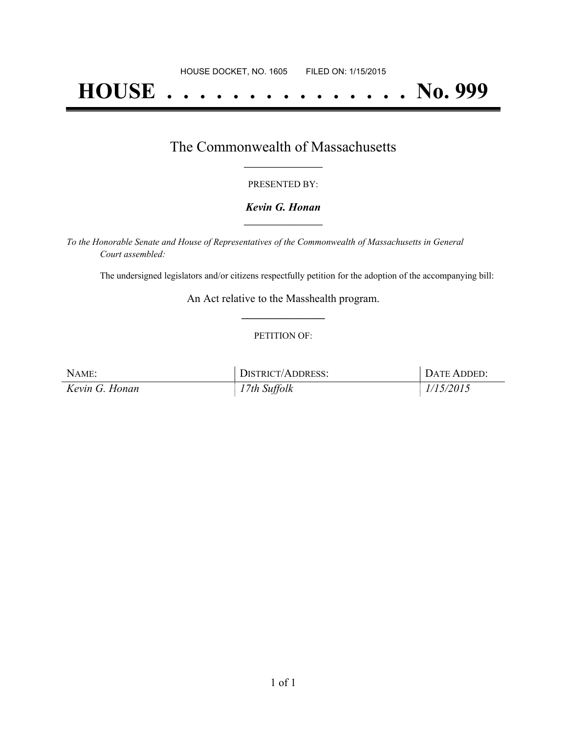# **HOUSE . . . . . . . . . . . . . . . No. 999**

### The Commonwealth of Massachusetts **\_\_\_\_\_\_\_\_\_\_\_\_\_\_\_\_\_**

#### PRESENTED BY:

#### *Kevin G. Honan* **\_\_\_\_\_\_\_\_\_\_\_\_\_\_\_\_\_**

*To the Honorable Senate and House of Representatives of the Commonwealth of Massachusetts in General Court assembled:*

The undersigned legislators and/or citizens respectfully petition for the adoption of the accompanying bill:

An Act relative to the Masshealth program. **\_\_\_\_\_\_\_\_\_\_\_\_\_\_\_**

#### PETITION OF:

| NAME:          | DISTRICT/ADDRESS: | DATE ADDED: |
|----------------|-------------------|-------------|
| Kevin G. Honan | 17th Suffolk      | 1/15/2015   |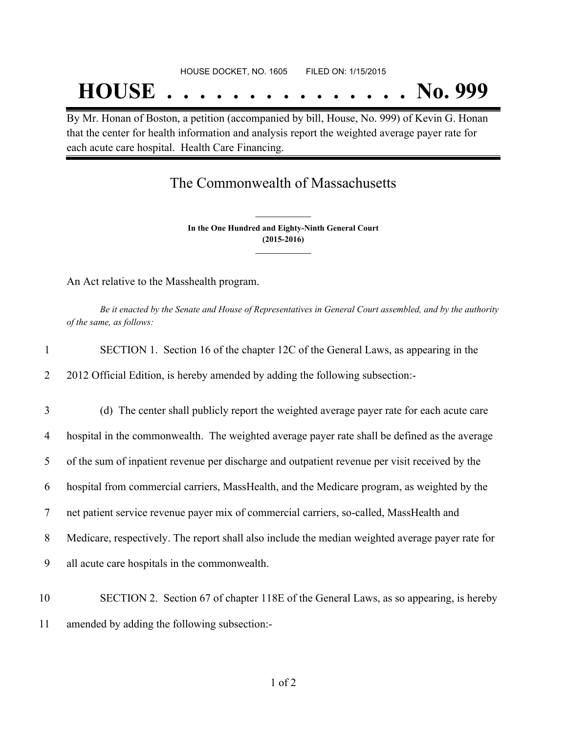By Mr. Honan of Boston, a petition (accompanied by bill, House, No. 999) of Kevin G. Honan that the center for health information and analysis report the weighted average payer rate for each acute care hospital. Health Care Financing.

## The Commonwealth of Massachusetts

**In the One Hundred and Eighty-Ninth General Court (2015-2016) \_\_\_\_\_\_\_\_\_\_\_\_\_\_\_**

**\_\_\_\_\_\_\_\_\_\_\_\_\_\_\_**

An Act relative to the Masshealth program.

Be it enacted by the Senate and House of Representatives in General Court assembled, and by the authority *of the same, as follows:*

|  | SECTION 1. Section 16 of the chapter 12C of the General Laws, as appearing in the |  |  |
|--|-----------------------------------------------------------------------------------|--|--|
|  |                                                                                   |  |  |

2 2012 Official Edition, is hereby amended by adding the following subsection:-

3 (d) The center shall publicly report the weighted average payer rate for each acute care 4 hospital in the commonwealth. The weighted average payer rate shall be defined as the average

5 of the sum of inpatient revenue per discharge and outpatient revenue per visit received by the

6 hospital from commercial carriers, MassHealth, and the Medicare program, as weighted by the

7 net patient service revenue payer mix of commercial carriers, so-called, MassHealth and

8 Medicare, respectively. The report shall also include the median weighted average payer rate for

9 all acute care hospitals in the commonwealth.

10 SECTION 2. Section 67 of chapter 118E of the General Laws, as so appearing, is hereby 11 amended by adding the following subsection:-